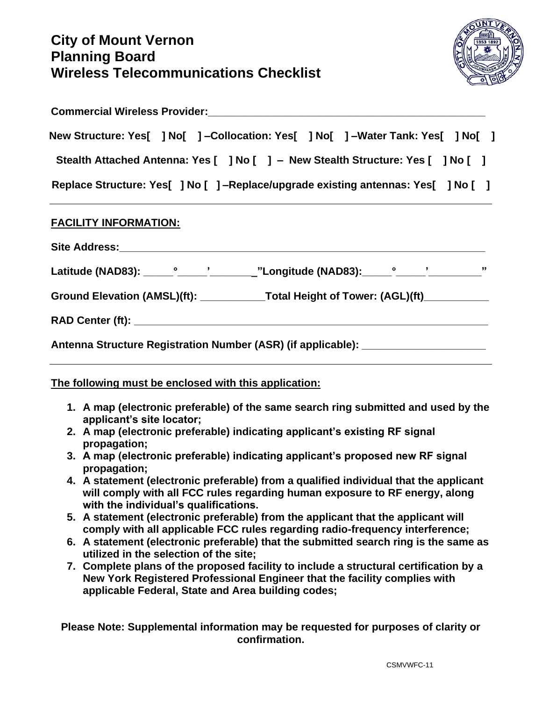## **City of Mount Vernon Planning Board Wireless Telecommunications Checklist**



| <b>Commercial Wireless Provider:</b>                                               |  |  |  |  |  |  |  |
|------------------------------------------------------------------------------------|--|--|--|--|--|--|--|
| New Structure: Yes[ ] No[ ] --Collocation: Yes[ ] No[ ] --Water Tank: Yes[ ] No[ ] |  |  |  |  |  |  |  |
| Stealth Attached Antenna: Yes [ ] No [ ] – New Stealth Structure: Yes [ ] No [ ]   |  |  |  |  |  |  |  |
| Replace Structure: Yes[ ] No [ ] -Replace/upgrade existing antennas: Yes[ ] No [ ] |  |  |  |  |  |  |  |

## **FACILITY INFORMATION:**

|                                                                                   | Ground Elevation (AMSL)(ft): ______________Total Height of Tower: (AGL)(ft)___________ |  |  |  |  |  |  |  |
|-----------------------------------------------------------------------------------|----------------------------------------------------------------------------------------|--|--|--|--|--|--|--|
|                                                                                   |                                                                                        |  |  |  |  |  |  |  |
| Antenna Structure Registration Number (ASR) (if applicable): ____________________ |                                                                                        |  |  |  |  |  |  |  |

## **The following must be enclosed with this application:**

- **1. A map (electronic preferable) of the same search ring submitted and used by the applicant's site locator;**
- **2. A map (electronic preferable) indicating applicant's existing RF signal propagation;**
- **3. A map (electronic preferable) indicating applicant's proposed new RF signal propagation;**
- **4. A statement (electronic preferable) from a qualified individual that the applicant will comply with all FCC rules regarding human exposure to RF energy, along with the individual's qualifications.**
- **5. A statement (electronic preferable) from the applicant that the applicant will comply with all applicable FCC rules regarding radio-frequency interference;**
- **6. A statement (electronic preferable) that the submitted search ring is the same as utilized in the selection of the site;**
- **7. Complete plans of the proposed facility to include a structural certification by a New York Registered Professional Engineer that the facility complies with applicable Federal, State and Area building codes;**

**Please Note: Supplemental information may be requested for purposes of clarity or confirmation.**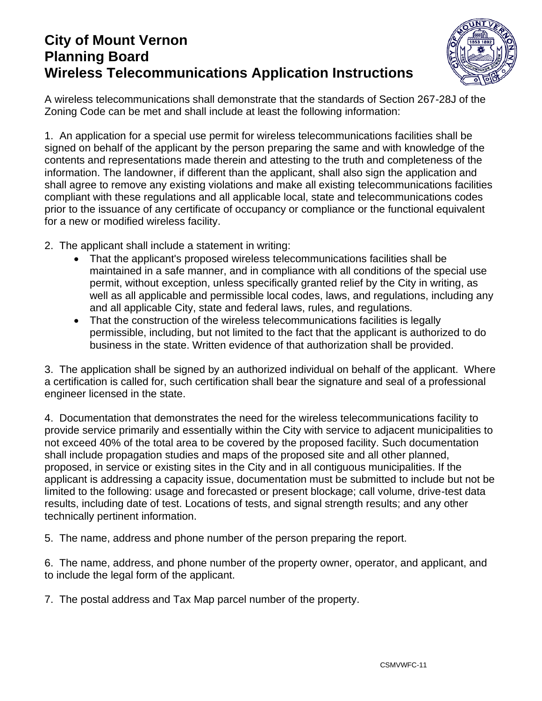## **City of Mount Vernon Planning Board Wireless Telecommunications Application Instructions**



A wireless telecommunications shall demonstrate that the standards of Section 267-28J of the Zoning Code can be met and shall include at least the following information:

1. An application for a special use permit for wireless telecommunications facilities shall be signed on behalf of the applicant by the person preparing the same and with knowledge of the contents and representations made therein and attesting to the truth and completeness of the information. The landowner, if different than the applicant, shall also sign the application and shall agree to remove any existing violations and make all existing telecommunications facilities compliant with these regulations and all applicable local, state and telecommunications codes prior to the issuance of any certificate of occupancy or compliance or the functional equivalent for a new or modified wireless facility.

- 2. The applicant shall include a statement in writing:
	- That the applicant's proposed wireless telecommunications facilities shall be maintained in a safe manner, and in compliance with all conditions of the special use permit, without exception, unless specifically granted relief by the City in writing, as well as all applicable and permissible local codes, laws, and regulations, including any and all applicable City, state and federal laws, rules, and regulations.
	- That the construction of the wireless telecommunications facilities is legally permissible, including, but not limited to the fact that the applicant is authorized to do business in the state. Written evidence of that authorization shall be provided.

3. The application shall be signed by an authorized individual on behalf of the applicant. Where a certification is called for, such certification shall bear the signature and seal of a professional engineer licensed in the state.

4. Documentation that demonstrates the need for the wireless telecommunications facility to provide service primarily and essentially within the City with service to adjacent municipalities to not exceed 40% of the total area to be covered by the proposed facility. Such documentation shall include propagation studies and maps of the proposed site and all other planned, proposed, in service or existing sites in the City and in all contiguous municipalities. If the applicant is addressing a capacity issue, documentation must be submitted to include but not be limited to the following: usage and forecasted or present blockage; call volume, drive-test data results, including date of test. Locations of tests, and signal strength results; and any other technically pertinent information.

5. The name, address and phone number of the person preparing the report.

6. The name, address, and phone number of the property owner, operator, and applicant, and to include the legal form of the applicant.

7. The postal address and Tax Map parcel number of the property.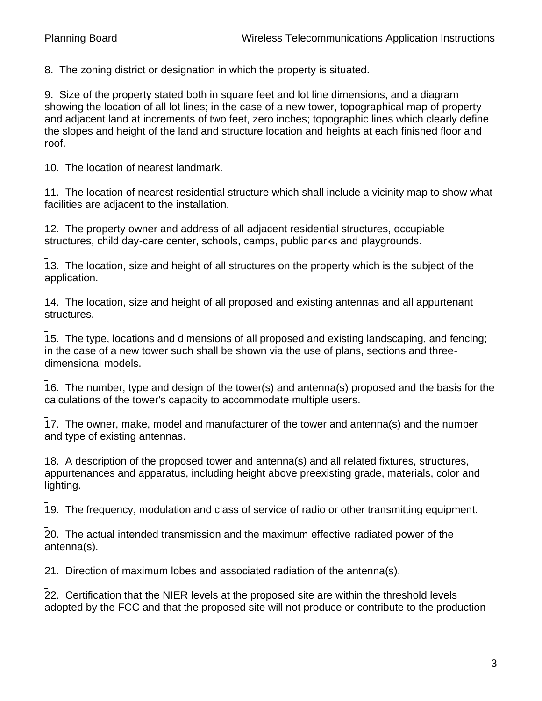8. The zoning district or designation in which the property is situated.

9. Size of the property stated both in square feet and lot line dimensions, and a diagram showing the location of all lot lines; in the case of a new tower, topographical map of property and adjacent land at increments of two feet, zero inches; topographic lines which clearly define the slopes and height of the land and structure location and heights at each finished floor and roof.

10. The location of nearest landmark.

11. The location of nearest residential structure which shall include a vicinity map to show what facilities are adjacent to the installation.

12. The property owner and address of all adjacent residential structures, occupiable structures, child day-care center, schools, camps, public parks and playgrounds.

13. The location, size and height of all structures on the property which is the subject of the [a](http://www.ecode360.com/?custId=MO0742&guid=6606310&j=23)pplication.

14. The location, size and height of all proposed and existing antennas and all appurtenant structures.

15. The type, locations and dimensions of all proposed and existing landscaping, and fencing; in the case of a new tower such shall be shown via the use of plans, sections and threedimensional models.

16. The number, type and design of the tower(s) and antenna(s) proposed and the basis for the [c](http://www.ecode360.com/?custId=MO0742&guid=6606313&j=23)alculations of the tower's capacity to accommodate multiple users.

17. The owner, make, model and manufacturer of the tower and antenna(s) and the number and type of existing antennas.

18. A description of the proposed tower and antenna(s) and all related fixtures, structures, appurtenances and apparatus, including height above preexisting grade, materials, color and lighting.

19. The frequency, modulation and class of service of radio or other transmitting equipment.

20. The actual intended transmission and the maximum effective radiated power of the antenna(s).

21. Direction of maximum lobes and associated radiation of the antenna(s).

22. Certification that the NIER levels at the proposed site are within the threshold levels adopted by the FCC and that the proposed site will not produce or contribute to the production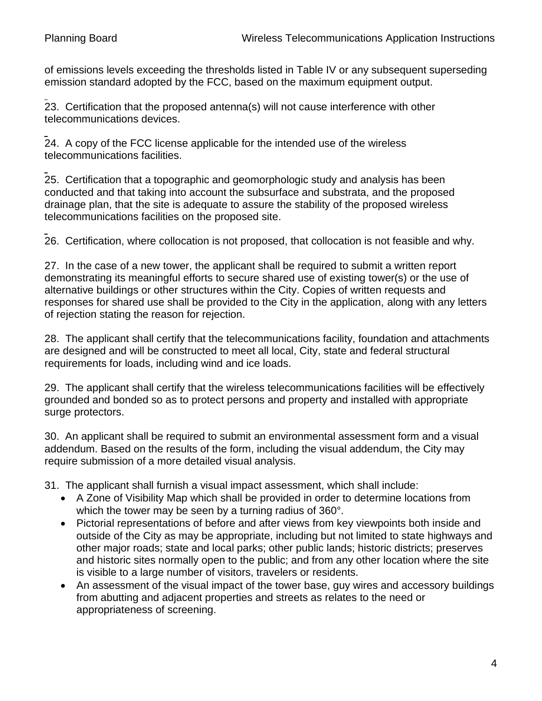of emissions levels exceeding the thresholds listed in Table IV or any subsequent superseding emission standard adopted by the FCC, based on the maximum equipment output.

23. Certification that the proposed antenna(s) will not cause interference with other telecommunications devices.

24. A copy of the FCC license applicable for the intended use of the wireless [te](http://www.ecode360.com/?custId=MO0742&guid=6606321&j=23)lecommunications facilities.

25. Certification that a topographic and geomorphologic study and analysis has been conducted and that taking into account the subsurface and substrata, and the proposed drainage plan, that the site is adequate to assure the stability of the proposed wireless [te](http://www.ecode360.com/?custId=MO0742&guid=6606322&j=23)lecommunications facilities on the proposed site.

26. Certification, where collocation is not proposed, that collocation is not feasible and why.

27. In the case of a new tower, the applicant shall be required to submit a written report demonstrating its meaningful efforts to secure shared use of existing tower(s) or the use of alternative buildings or other structures within the City. Copies of written requests and responses for shared use shall be provided to the City in the application, along with any letters of rejection stating the reason for rejection.

28. The applicant shall certify that the telecommunications facility, foundation and attachments are designed and will be constructed to meet all local, City, state and federal structural requirements for loads, including wind and ice loads.

29. The applicant shall certify that the wireless telecommunications facilities will be effectively grounded and bonded so as to protect persons and property and installed with appropriate surge protectors.

30. An applicant shall be required to submit an environmental assessment form and a visual addendum. Based on the results of the form, including the visual addendum, the City may require submission of a more detailed visual analysis.

31. The applicant shall furnish a visual impact assessment, which shall include:

- A Zone of Visibility Map which shall be provided in order to determine locations from which the tower may be seen by a turning radius of 360°.
- Pictorial representations of before and after views from key viewpoints both inside and outside of the City as may be appropriate, including but not limited to state highways and other major roads; state and local parks; other public lands; historic districts; preserves and historic sites normally open to the public; and from any other location where the site is visible to a large number of visitors, travelers or residents.
- An assessment of the visual impact of the tower base, guy wires and accessory buildings from abutting and adjacent properties and streets as relates to the need or appropriateness of screening.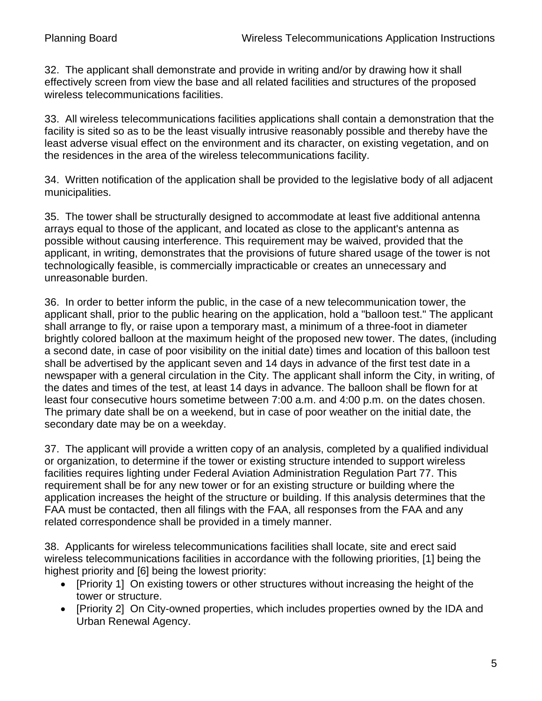32. The applicant shall demonstrate and provide in writing and/or by drawing how it shall effectively screen from view the base and all related facilities and structures of the proposed wireless telecommunications facilities.

33. All wireless telecommunications facilities applications shall contain a demonstration that the facility is sited so as to be the least visually intrusive reasonably possible and thereby have the least adverse visual effect on the environment and its character, on existing vegetation, and on the residences in the area of the wireless telecommunications facility.

34. Written notification of the application shall be provided to the legislative body of all adjacent municipalities.

35. The tower shall be structurally designed to accommodate at least five additional antenna arrays equal to those of the applicant, and located as close to the applicant's antenna as possible without causing interference. This requirement may be waived, provided that the applicant, in writing, demonstrates that the provisions of future shared usage of the tower is not technologically feasible, is commercially impracticable or creates an unnecessary and unreasonable burden.

36. In order to better inform the public, in the case of a new telecommunication tower, the applicant shall, prior to the public hearing on the application, hold a "balloon test." The applicant shall arrange to fly, or raise upon a temporary mast, a minimum of a three-foot in diameter brightly colored balloon at the maximum height of the proposed new tower. The dates, (including a second date, in case of poor visibility on the initial date) times and location of this balloon test shall be advertised by the applicant seven and 14 days in advance of the first test date in a newspaper with a general circulation in the City. The applicant shall inform the City, in writing, of the dates and times of the test, at least 14 days in advance. The balloon shall be flown for at least four consecutive hours sometime between 7:00 a.m. and 4:00 p.m. on the dates chosen. The primary date shall be on a weekend, but in case of poor weather on the initial date, the secondary date may be on a weekday.

37. The applicant will provide a written copy of an analysis, completed by a qualified individual or organization, to determine if the tower or existing structure intended to support wireless facilities requires lighting under Federal Aviation Administration Regulation Part 77. This requirement shall be for any new tower or for an existing structure or building where the application increases the height of the structure or building. If this analysis determines that the FAA must be contacted, then all filings with the FAA, all responses from the FAA and any related correspondence shall be provided in a timely manner.

38. Applicants for wireless telecommunications facilities shall locate, site and erect said wireless telecommunications facilities in accordance with the following priorities, [1] being the highest priority and [6] being the lowest priority:

- [Priority 1] On existing towers or other structures without increasing the height of the tower or structure.
- [Priority 2] On City-owned properties, which includes properties owned by the IDA and Urban Renewal Agency.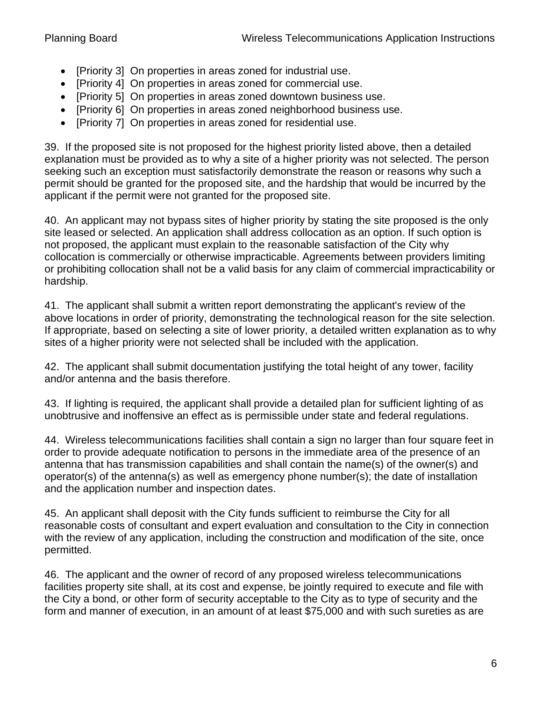- [Priority 3] On properties in areas zoned for industrial use.
- [Priority 4] On properties in areas zoned for commercial use.
- [Priority 5] On properties in areas zoned downtown business use.
- [Priority 6] On properties in areas zoned neighborhood business use.
- [Priority 7] On properties in areas zoned for residential use.

39. If the proposed site is not proposed for the highest priority listed above, then a detailed explanation must be provided as to why a site of a higher priority was not selected. The person seeking such an exception must satisfactorily demonstrate the reason or reasons why such a permit should be granted for the proposed site, and the hardship that would be incurred by the applicant if the permit were not granted for the proposed site.

40. An applicant may not bypass sites of higher priority by stating the site proposed is the only site leased or selected. An application shall address collocation as an option. If such option is not proposed, the applicant must explain to the reasonable satisfaction of the City why collocation is commercially or otherwise impracticable. Agreements between providers limiting or prohibiting collocation shall not be a valid basis for any claim of commercial impracticability or hardship.

41. The applicant shall submit a written report demonstrating the applicant's review of the above locations in order of priority, demonstrating the technological reason for the site selection. If appropriate, based on selecting a site of lower priority, a detailed written explanation as to why sites of a higher priority were not selected shall be included with the application.

42. The applicant shall submit documentation justifying the total height of any tower, facility and/or antenna and the basis therefore.

43. If lighting is required, the applicant shall provide a detailed plan for sufficient lighting of as unobtrusive and inoffensive an effect as is permissible under state and federal regulations.

44. Wireless telecommunications facilities shall contain a sign no larger than four square feet in order to provide adequate notification to persons in the immediate area of the presence of an antenna that has transmission capabilities and shall contain the name(s) of the owner(s) and operator(s) of the antenna(s) as well as emergency phone number(s); the date of installation and the application number and inspection dates.

45. An applicant shall deposit with the City funds sufficient to reimburse the City for all reasonable costs of consultant and expert evaluation and consultation to the City in connection with the review of any application, including the construction and modification of the site, once permitted.

46. The applicant and the owner of record of any proposed wireless telecommunications facilities property site shall, at its cost and expense, be jointly required to execute and file with the City a bond, or other form of security acceptable to the City as to type of security and the form and manner of execution, in an amount of at least \$75,000 and with such sureties as are